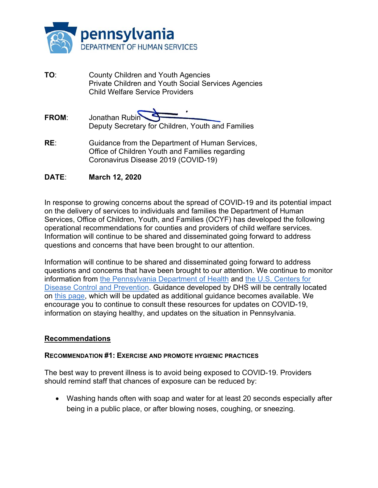

- **TO**: County Children and Youth Agencies Private Children and Youth Social Services Agencies Child Welfare Service Providers
- **FROM**: Jonathan Rubin Deputy Secretary for Children, Youth and Families
- **RE**: Guidance from the Department of Human Services, Office of Children Youth and Families regarding Coronavirus Disease 2019 (COVID-19)

## **DATE**: **March 12, 2020**

In response to growing concerns about the spread of COVID-19 and its potential impact on the delivery of services to individuals and families the Department of Human Services, Office of Children, Youth, and Families (OCYF) has developed the following operational recommendations for counties and providers of child welfare services. Information will continue to be shared and disseminated going forward to address questions and concerns that have been brought to our attention.

Information will continue to be shared and disseminated going forward to address questions and concerns that have been brought to our attention. We continue to monitor information from the Pennsylvania Department of Health and the U.S. Centers for Disease Control and Prevention. Guidance developed by DHS will be centrally located on this page, which will be updated as additional guidance becomes available. We encourage you to continue to consult these resources for updates on COVID-19, information on staying healthy, and updates on the situation in Pennsylvania.

### **Recommendations**

#### **RECOMMENDATION #1: EXERCISE AND PROMOTE HYGIENIC PRACTICES**

The best way to prevent illness is to avoid being exposed to COVID-19. Providers should remind staff that chances of exposure can be reduced by:

 Washing hands often with soap and water for at least 20 seconds especially after being in a public place, or after blowing noses, coughing, or sneezing.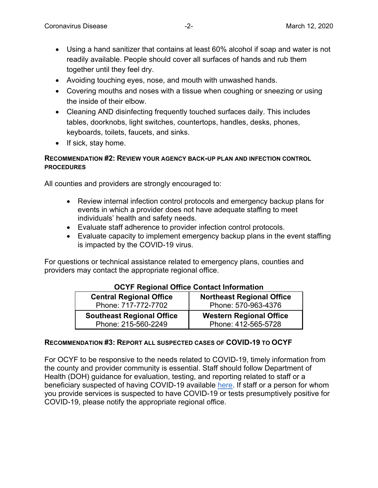- Using a hand sanitizer that contains at least 60% alcohol if soap and water is not readily available. People should cover all surfaces of hands and rub them together until they feel dry.
- Avoiding touching eyes, nose, and mouth with unwashed hands.
- Covering mouths and noses with a tissue when coughing or sneezing or using the inside of their elbow.
- Cleaning AND disinfecting frequently touched surfaces daily. This includes tables, doorknobs, light switches, countertops, handles, desks, phones, keyboards, toilets, faucets, and sinks.
- $\bullet$  If sick, stay home.

## **RECOMMENDATION #2: REVIEW YOUR AGENCY BACK-UP PLAN AND INFECTION CONTROL PROCEDURES**

All counties and providers are strongly encouraged to:

- Review internal infection control protocols and emergency backup plans for events in which a provider does not have adequate staffing to meet individuals' health and safety needs.
- Evaluate staff adherence to provider infection control protocols.
- Evaluate capacity to implement emergency backup plans in the event staffing is impacted by the COVID-19 virus.

For questions or technical assistance related to emergency plans, counties and providers may contact the appropriate regional office.

| <b>Central Regional Office</b><br>Phone: 717-772-7702 | <b>Northeast Regional Office</b><br>Phone: 570-963-4376 |
|-------------------------------------------------------|---------------------------------------------------------|
|                                                       |                                                         |
| <b>Southeast Regional Office</b>                      | <b>Western Regional Office</b>                          |
| Phone: 215-560-2249                                   | Phone: 412-565-5728                                     |

# **OCYF Regional Office Contact Information**

### **RECOMMENDATION #3: REPORT ALL SUSPECTED CASES OF COVID-19 TO OCYF**

For OCYF to be responsive to the needs related to COVID-19, timely information from the county and provider community is essential. Staff should follow Department of Health (DOH) guidance for evaluation, testing, and reporting related to staff or a beneficiary suspected of having COVID-19 available here. If staff or a person for whom you provide services is suspected to have COVID-19 or tests presumptively positive for COVID-19, please notify the appropriate regional office.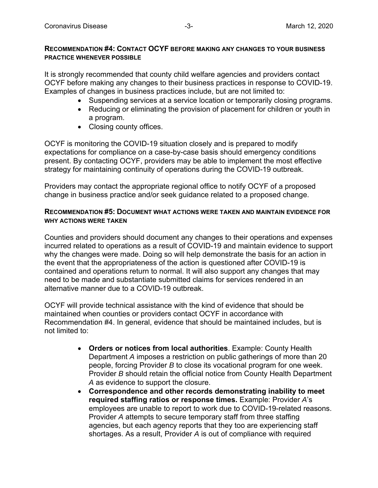#### **RECOMMENDATION #4: CONTACT OCYF BEFORE MAKING ANY CHANGES TO YOUR BUSINESS PRACTICE WHENEVER POSSIBLE**

It is strongly recommended that county child welfare agencies and providers contact OCYF before making any changes to their business practices in response to COVID-19. Examples of changes in business practices include, but are not limited to:

- Suspending services at a service location or temporarily closing programs.
- Reducing or eliminating the provision of placement for children or youth in a program.
- Closing county offices.

OCYF is monitoring the COVID-19 situation closely and is prepared to modify expectations for compliance on a case-by-case basis should emergency conditions present. By contacting OCYF, providers may be able to implement the most effective strategy for maintaining continuity of operations during the COVID-19 outbreak.

Providers may contact the appropriate regional office to notify OCYF of a proposed change in business practice and/or seek guidance related to a proposed change.

#### **RECOMMENDATION #5: DOCUMENT WHAT ACTIONS WERE TAKEN AND MAINTAIN EVIDENCE FOR WHY ACTIONS WERE TAKEN**

Counties and providers should document any changes to their operations and expenses incurred related to operations as a result of COVID-19 and maintain evidence to support why the changes were made. Doing so will help demonstrate the basis for an action in the event that the appropriateness of the action is questioned after COVID-19 is contained and operations return to normal. It will also support any changes that may need to be made and substantiate submitted claims for services rendered in an alternative manner due to a COVID-19 outbreak.

OCYF will provide technical assistance with the kind of evidence that should be maintained when counties or providers contact OCYF in accordance with Recommendation #4. In general, evidence that should be maintained includes, but is not limited to:

- **Orders or notices from local authorities**. Example: County Health Department *A* imposes a restriction on public gatherings of more than 20 people, forcing Provider *B* to close its vocational program for one week. Provider *B* should retain the official notice from County Health Department *A* as evidence to support the closure.
- **Correspondence and other records demonstrating inability to meet required staffing ratios or response times.** Example: Provider *A*'s employees are unable to report to work due to COVID-19-related reasons. Provider *A* attempts to secure temporary staff from three staffing agencies, but each agency reports that they too are experiencing staff shortages. As a result, Provider *A* is out of compliance with required